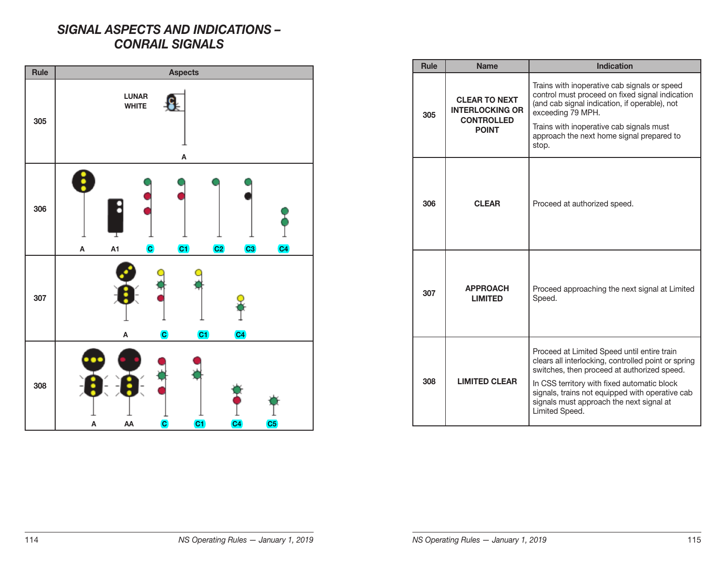## *SIGNAL ASPECTS AND INDICATIONS – CONRAIL SIGNALS*



| <b>Rule</b> | <b>Name</b>                                                                         | <b>Indication</b>                                                                                                                                                                                                                                                                                                 |
|-------------|-------------------------------------------------------------------------------------|-------------------------------------------------------------------------------------------------------------------------------------------------------------------------------------------------------------------------------------------------------------------------------------------------------------------|
| 305         | <b>CLEAR TO NEXT</b><br><b>INTERLOCKING OR</b><br><b>CONTROLLED</b><br><b>POINT</b> | Trains with inoperative cab signals or speed<br>control must proceed on fixed signal indication<br>(and cab signal indication, if operable), not<br>exceeding 79 MPH.<br>Trains with inoperative cab signals must<br>approach the next home signal prepared to<br>stop.                                           |
| 306         | <b>CLEAR</b>                                                                        | Proceed at authorized speed.                                                                                                                                                                                                                                                                                      |
| 307         | <b>APPROACH</b><br><b>LIMITED</b>                                                   | Proceed approaching the next signal at Limited<br>Speed.                                                                                                                                                                                                                                                          |
| 308         | <b>LIMITED CLEAR</b>                                                                | Proceed at Limited Speed until entire train<br>clears all interlocking, controlled point or spring<br>switches, then proceed at authorized speed.<br>In CSS territory with fixed automatic block<br>signals, trains not equipped with operative cab<br>signals must approach the next signal at<br>Limited Speed. |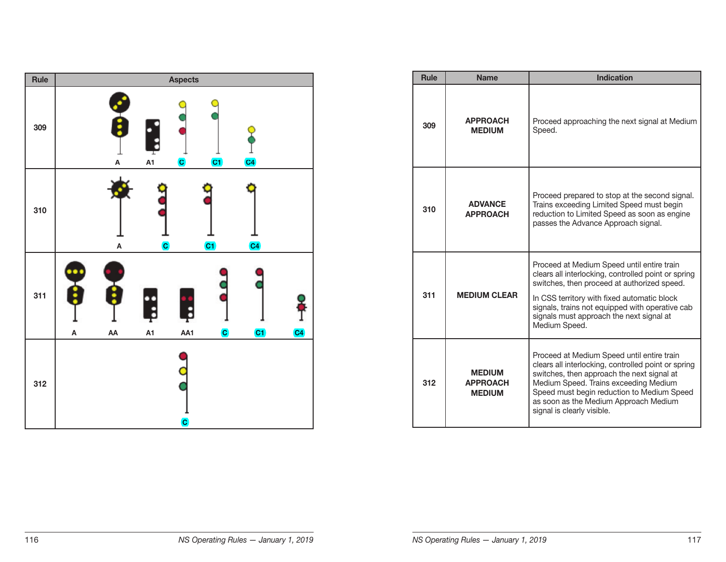

| <b>Rule</b> | <b>Name</b>                                       | <b>Indication</b>                                                                                                                                                                                                                                                                                               |
|-------------|---------------------------------------------------|-----------------------------------------------------------------------------------------------------------------------------------------------------------------------------------------------------------------------------------------------------------------------------------------------------------------|
| 309         | <b>APPROACH</b><br><b>MEDIUM</b>                  | Proceed approaching the next signal at Medium<br>Speed.                                                                                                                                                                                                                                                         |
| 310         | <b>ADVANCE</b><br><b>APPROACH</b>                 | Proceed prepared to stop at the second signal.<br>Trains exceeding Limited Speed must begin<br>reduction to Limited Speed as soon as engine<br>passes the Advance Approach signal.                                                                                                                              |
| 311         | <b>MEDIUM CLEAR</b>                               | Proceed at Medium Speed until entire train<br>clears all interlocking, controlled point or spring<br>switches, then proceed at authorized speed.<br>In CSS territory with fixed automatic block<br>signals, trains not equipped with operative cab<br>signals must approach the next signal at<br>Medium Speed. |
| 312         | <b>MEDIUM</b><br><b>APPROACH</b><br><b>MEDIUM</b> | Proceed at Medium Speed until entire train<br>clears all interlocking, controlled point or spring<br>switches, then approach the next signal at<br>Medium Speed. Trains exceeding Medium<br>Speed must begin reduction to Medium Speed<br>as soon as the Medium Approach Medium<br>signal is clearly visible.   |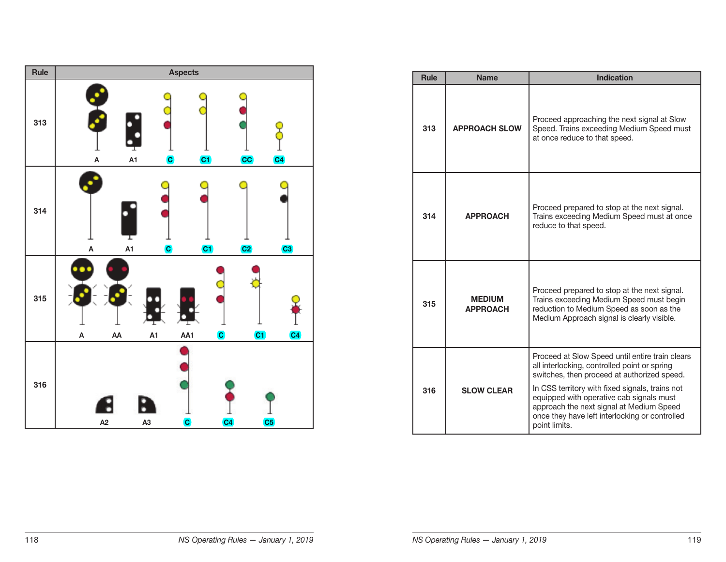

| <b>Rule</b> | <b>Name</b>                      | <b>Indication</b>                                                                                                                                                                                                                                                                                                                                            |
|-------------|----------------------------------|--------------------------------------------------------------------------------------------------------------------------------------------------------------------------------------------------------------------------------------------------------------------------------------------------------------------------------------------------------------|
| 313         | <b>APPROACH SLOW</b>             | Proceed approaching the next signal at Slow<br>Speed. Trains exceeding Medium Speed must<br>at once reduce to that speed.                                                                                                                                                                                                                                    |
| 314         | <b>APPROACH</b>                  | Proceed prepared to stop at the next signal.<br>Trains exceeding Medium Speed must at once<br>reduce to that speed.                                                                                                                                                                                                                                          |
| 315         | <b>MEDIUM</b><br><b>APPROACH</b> | Proceed prepared to stop at the next signal.<br>Trains exceeding Medium Speed must begin<br>reduction to Medium Speed as soon as the<br>Medium Approach signal is clearly visible.                                                                                                                                                                           |
| 316         | <b>SLOW CLEAR</b>                | Proceed at Slow Speed until entire train clears<br>all interlocking, controlled point or spring<br>switches, then proceed at authorized speed.<br>In CSS territory with fixed signals, trains not<br>equipped with operative cab signals must<br>approach the next signal at Medium Speed<br>once they have left interlocking or controlled<br>point limits. |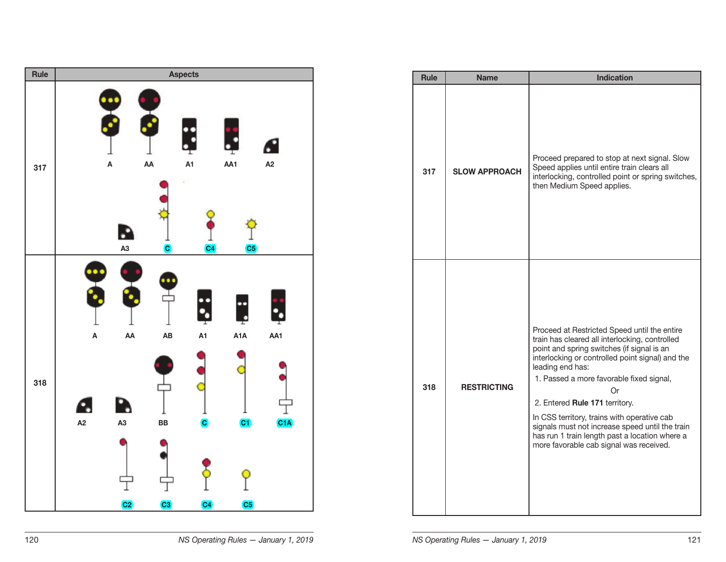

| Rule | <b>Name</b>          | <b>Indication</b>                                                                                                                                                                                                                                                                                                                                                                                                                                                                                       |
|------|----------------------|---------------------------------------------------------------------------------------------------------------------------------------------------------------------------------------------------------------------------------------------------------------------------------------------------------------------------------------------------------------------------------------------------------------------------------------------------------------------------------------------------------|
| 317  | <b>SLOW APPROACH</b> | Proceed prepared to stop at next signal. Slow<br>Speed applies until entire train clears all<br>interlocking, controlled point or spring switches,<br>then Medium Speed applies.                                                                                                                                                                                                                                                                                                                        |
| 318  | <b>RESTRICTING</b>   | Proceed at Restricted Speed until the entire<br>train has cleared all interlocking, controlled<br>point and spring switches (if signal is an<br>interlocking or controlled point signal) and the<br>leading end has:<br>1. Passed a more favorable fixed signal,<br>Or<br>2. Entered Rule 171 territory.<br>In CSS territory, trains with operative cab<br>signals must not increase speed until the train<br>has run 1 train length past a location where a<br>more favorable cab signal was received. |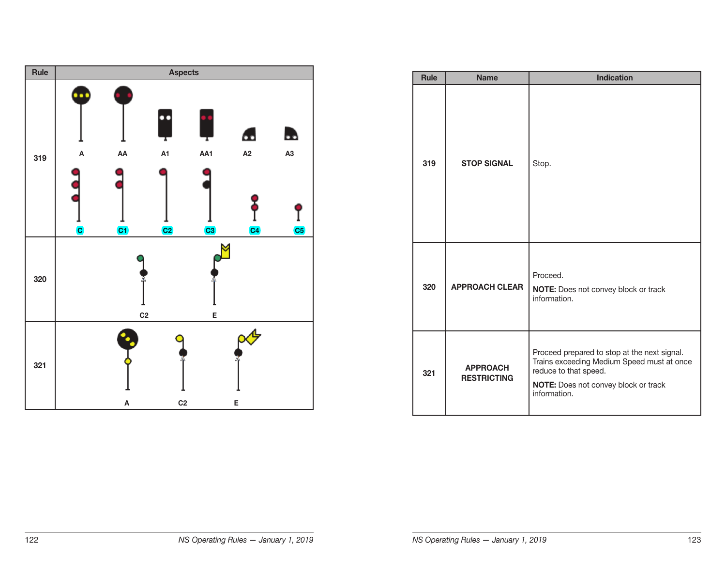

| <b>Rule</b> | <b>Name</b>                           | <b>Indication</b>                                                                                                                                                           |
|-------------|---------------------------------------|-----------------------------------------------------------------------------------------------------------------------------------------------------------------------------|
| 319         | <b>STOP SIGNAL</b>                    | Stop.                                                                                                                                                                       |
| 320         | <b>APPROACH CLEAR</b>                 | Proceed.<br>NOTE: Does not convey block or track<br>information.                                                                                                            |
| 321         | <b>APPROACH</b><br><b>RESTRICTING</b> | Proceed prepared to stop at the next signal.<br>Trains exceeding Medium Speed must at once<br>reduce to that speed.<br>NOTE: Does not convey block or track<br>information. |